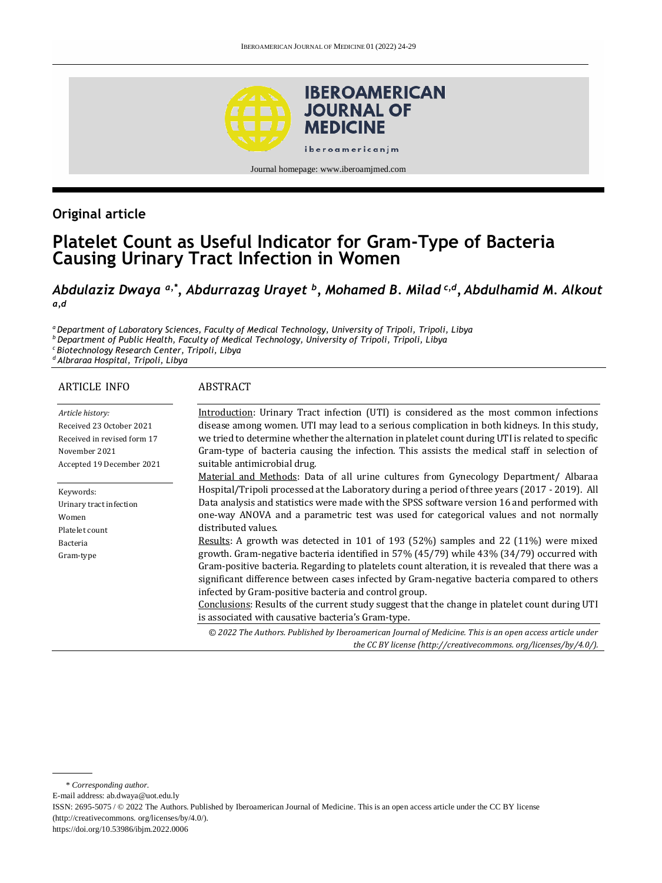

# **Original article**

# **Platelet Count as Useful Indicator for Gram-Type of Bacteria Causing Urinary Tract Infection in Women**

#### *Abdulaziz Dwaya a,\*, Abdurrazag Urayet <sup>b</sup> , Mohamed B. Milad c,d , Abdulhamid M. Alkout a,d*

*<sup>a</sup>Department of Laboratory Sciences, Faculty of Medical Technology, University of Tripoli, Tripoli, Libya*

*<sup>b</sup>Department of Public Health, Faculty of Medical Technology, University of Tripoli, Tripoli, Libya*

*<sup>c</sup>Biotechnology Research Center, Tripoli, Libya*

*<sup>d</sup>Albraraa Hospital, Tripoli, Libya*

#### ARTICLE INFO *Article history:* Received 23 October 2021 Received in revised form 17 November 2021 Accepted 19 December 2021 Keywords: Urinary tract infection Women Platelet count Bacteria Gram-type **ABSTRACT** Introduction: Urinary Tract infection (UTI) is considered as the most common infections disease among women. UTI may lead to a serious complication in both kidneys. In this study, we tried to determine whether the alternation in platelet count during UTI is related to specific Gram-type of bacteria causing the infection. This assists the medical staff in selection of suitable antimicrobial drug. Material and Methods: Data of all urine cultures from Gynecology Department/ Albaraa Hospital/Tripoli processed at the Laboratory during a period of three years (2017 - 2019). All Data analysis and statistics were made with the SPSS software version 16 and performed with one-way ANOVA and a parametric test was used for categorical values and not normally distributed values. Results: A growth was detected in 101 of 193 (52%) samples and 22 (11%) were mixed growth. Gram-negative bacteria identified in 57% (45/79) while 43% (34/79) occurred with Gram-positive bacteria. Regarding to platelets count alteration, it is revealed that there was a significant difference between cases infected by Gram-negative bacteria compared to others infected by Gram-positive bacteria and control group. Conclusions: Results of the current study suggest that the change in platelet count during UTI is associated with causative bacteria's Gram-type. *© 2022 The Authors. Published by Iberoamerican Journal of Medicine. This is an open access article under the CC BY license (http:/[/creativecommons. org/licenses/by/4.0/\)](https://creativecommons.org/licenses/by/4.0/).*

E-mail address: [ab.dwaya@uot.edu.ly](mailto:ab.dwaya@uot.edu.ly)

ISSN: 2695-5075 / © 2022 The Authors. Published by Iberoamerican Journal of Medicine. This is an open access article under the CC BY license (http:/[/creativecommons. org/licenses/by/4.0/\).](https://creativecommons.org/licenses/by/4.0/)

<https://doi.org/10.53986/ibjm.2022.0006>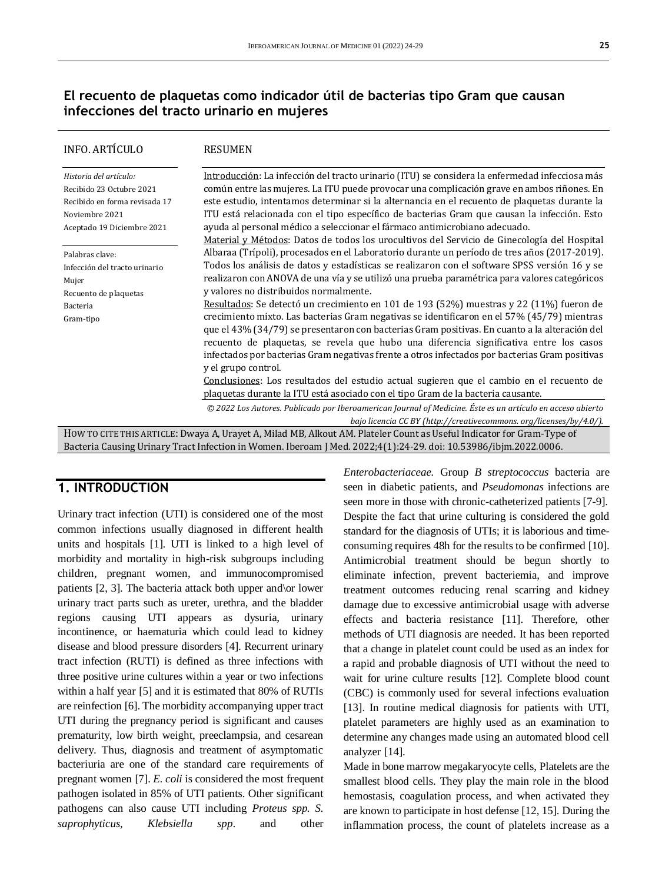### **El recuento de plaquetas como indicador útil de bacterias tipo Gram que causan infecciones del tracto urinario en mujeres**

| <b>INFO. ARTÍCULO</b>                                                                                                               | <b>RESUMEN</b>                                                                                                                                                                                                                                                                                                                                                                                                                                                                                                                                                           |
|-------------------------------------------------------------------------------------------------------------------------------------|--------------------------------------------------------------------------------------------------------------------------------------------------------------------------------------------------------------------------------------------------------------------------------------------------------------------------------------------------------------------------------------------------------------------------------------------------------------------------------------------------------------------------------------------------------------------------|
| Historia del artículo:<br>Recibido 23 Octubre 2021<br>Recibido en forma revisada 17<br>Noviembre 2021<br>Aceptado 19 Diciembre 2021 | Introducción: La infección del tracto urinario (ITU) se considera la enfermedad infecciosa más<br>común entre las mujeres. La ITU puede provocar una complicación grave en ambos riñones. En<br>este estudio, intentamos determinar si la alternancia en el recuento de plaquetas durante la<br>ITU está relacionada con el tipo específico de bacterias Gram que causan la infección. Esto<br>ayuda al personal médico a seleccionar el fármaco antimicrobiano adecuado.<br>Material y Métodos: Datos de todos los urocultivos del Servicio de Ginecología del Hospital |
| Palabras clave:<br>Infección del tracto urinario<br>Mujer<br>Recuento de plaquetas                                                  | Albaraa (Trípoli), procesados en el Laboratorio durante un período de tres años (2017-2019).<br>Todos los análisis de datos y estadísticas se realizaron con el software SPSS versión 16 y se<br>realizaron con ANOVA de una vía y se utilizó una prueba paramétrica para valores categóricos<br>y valores no distribuidos normalmente.                                                                                                                                                                                                                                  |
| Bacteria<br>Gram-tipo                                                                                                               | Resultados: Se detectó un crecimiento en 101 de 193 (52%) muestras y 22 (11%) fueron de<br>crecimiento mixto. Las bacterias Gram negativas se identificaron en el 57% (45/79) mientras<br>que el 43% (34/79) se presentaron con bacterias Gram positivas. En cuanto a la alteración del<br>recuento de plaquetas, se revela que hubo una diferencia significativa entre los casos<br>infectados por bacterias Gram negativas frente a otros infectados por bacterias Gram positivas<br>y el grupo control.                                                               |
|                                                                                                                                     | Conclusiones: Los resultados del estudio actual sugieren que el cambio en el recuento de<br>plaquetas durante la ITU está asociado con el tipo Gram de la bacteria causante.                                                                                                                                                                                                                                                                                                                                                                                             |
|                                                                                                                                     | © 2022 Los Autores. Publicado por Iberoamerican Journal of Medicine. Éste es un artículo en acceso abierto<br>bajo licencia CC BY (http://creativecommons. org/licenses/by/4.0/).                                                                                                                                                                                                                                                                                                                                                                                        |
|                                                                                                                                     | HOW TO CITE THIS ARTICLE: Dwaya A, Urayet A, Milad MB, Alkout AM. Plateler Count as Useful Indicator for Gram-Type of                                                                                                                                                                                                                                                                                                                                                                                                                                                    |

Bacteria Causing Urinary Tract Infection in Women. Iberoam J Med. 2022;4(1):24-29. doi[: 10.53986/ibjm.2022.0006.](https://doi.org/10.53986/ibjm.2022.0006)

#### **1. INTRODUCTION**

Urinary tract infection (UTI) is considered one of the most common infections usually diagnosed in different health units and hospitals [1]. UTI is linked to a high level of morbidity and mortality in high-risk subgroups including children, pregnant women, and immunocompromised patients [2, 3]. The bacteria attack both upper and\or lower urinary tract parts such as ureter, urethra, and the bladder regions causing UTI appears as dysuria, urinary incontinence, or haematuria which could lead to kidney disease and blood pressure disorders [4]. Recurrent urinary tract infection (RUTI) is defined as three infections with three positive urine cultures within a year or two infections within a half year [5] and it is estimated that 80% of RUTIs are reinfection [6]. The morbidity accompanying upper tract UTI during the pregnancy period is significant and causes prematurity, low birth weight, preeclampsia, and cesarean delivery. Thus, diagnosis and treatment of asymptomatic bacteriuria are one of the standard care requirements of pregnant women [7]. *E. coli* is considered the most frequent pathogen isolated in 85% of UTI patients. Other significant pathogens can also cause UTI including *Proteus spp. S. saprophyticus*, *Klebsiella spp*. and other *Enterobacteriaceae.* Group *B streptococcus* bacteria are seen in diabetic patients*,* and *Pseudomonas* infections are seen more in those with chronic-catheterized patients [7-9]. Despite the fact that urine culturing is considered the gold standard for the diagnosis of UTIs; it is laborious and timeconsuming requires 48h for the results to be confirmed [10]. Antimicrobial treatment should be begun shortly to eliminate infection, prevent bacteriemia, and improve treatment outcomes reducing renal scarring and kidney damage due to excessive antimicrobial usage with adverse effects and bacteria resistance [11]. Therefore, other methods of UTI diagnosis are needed. It has been reported that a change in platelet count could be used as an index for a rapid and probable diagnosis of UTI without the need to wait for urine culture results [12]. Complete blood count (CBC) is commonly used for several infections evaluation [13]. In routine medical diagnosis for patients with UTI, platelet parameters are highly used as an examination to determine any changes made using an automated blood cell analyzer [14].

Made in bone marrow megakaryocyte cells, Platelets are the smallest blood cells. They play the main role in the blood hemostasis, coagulation process, and when activated they are known to participate in host defense [12, 15]. During the inflammation process, the count of platelets increase as a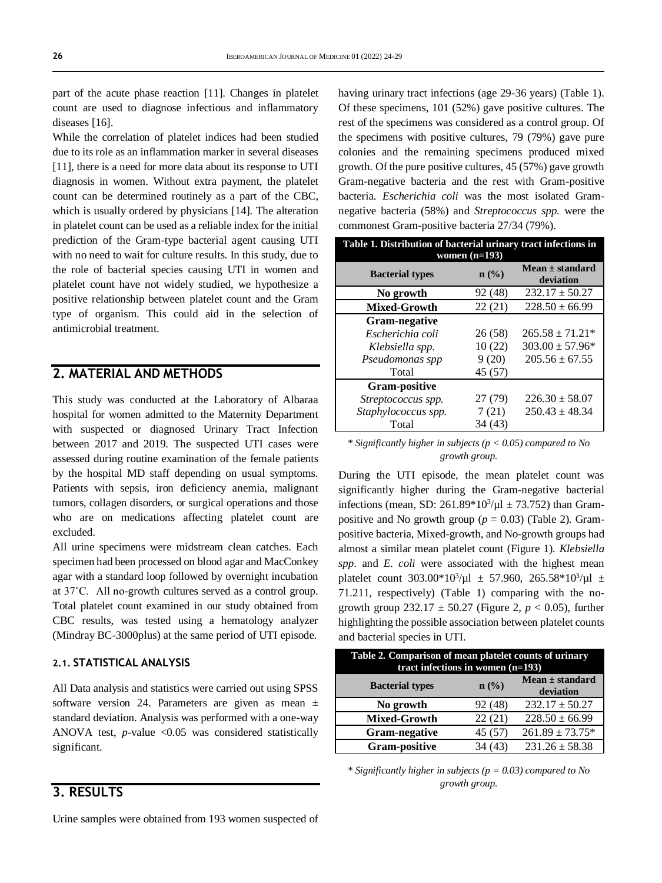part of the acute phase reaction [11]. Changes in platelet count are used to diagnose infectious and inflammatory diseases [16].

While the correlation of platelet indices had been studied due to its role as an inflammation marker in several diseases [11], there is a need for more data about its response to UTI diagnosis in women. Without extra payment, the platelet count can be determined routinely as a part of the CBC, which is usually ordered by physicians [14]. The alteration in platelet count can be used as a reliable index for the initial prediction of the Gram-type bacterial agent causing UTI with no need to wait for culture results. In this study, due to the role of bacterial species causing UTI in women and platelet count have not widely studied, we hypothesize a positive relationship between platelet count and the Gram type of organism. This could aid in the selection of antimicrobial treatment.

### **2. MATERIAL AND METHODS**

This study was conducted at the Laboratory of Albaraa hospital for women admitted to the Maternity Department with suspected or diagnosed Urinary Tract Infection between 2017 and 2019. The suspected UTI cases were assessed during routine examination of the female patients by the hospital MD staff depending on usual symptoms. Patients with sepsis, iron deficiency anemia, malignant tumors, collagen disorders, or surgical operations and those who are on medications affecting platelet count are excluded.

All urine specimens were midstream clean catches. Each specimen had been processed on blood agar and MacConkey agar with a standard loop followed by overnight incubation at 37˚C. All no-growth cultures served as a control group. Total platelet count examined in our study obtained from CBC results, was tested using a hematology analyzer (Mindray BC-3000plus) at the same period of UTI episode.

#### **2.1. STATISTICAL ANALYSIS**

All Data analysis and statistics were carried out using SPSS software version 24. Parameters are given as mean  $\pm$ standard deviation. Analysis was performed with a one-way ANOVA test,  $p$ -value < $0.05$  was considered statistically significant.

#### **3. RESULTS**

Urine samples were obtained from 193 women suspected of

having urinary tract infections (age 29-36 years) (Table 1). Of these specimens, 101 (52%) gave positive cultures. The rest of the specimens was considered as a control group. Of the specimens with positive cultures, 79 (79%) gave pure colonies and the remaining specimens produced mixed growth. Of the pure positive cultures, 45 (57%) gave growth Gram-negative bacteria and the rest with Gram-positive bacteria. *Escherichia coli* was the most isolated Gramnegative bacteria (58%) and *Streptococcus spp*. were the commonest Gram-positive bacteria 27/34 (79%).

| Table 1. Distribution of bacterial urinary tract infections in<br>women $(n=193)$ |         |                                  |  |  |
|-----------------------------------------------------------------------------------|---------|----------------------------------|--|--|
| <b>Bacterial types</b>                                                            | $n$ (%) | $Mean \pm standard$<br>deviation |  |  |
| No growth                                                                         | 92 (48) | $232.17 \pm 50.27$               |  |  |
| <b>Mixed-Growth</b>                                                               | 22(21)  | $228.50 \pm 66.99$               |  |  |
| <b>Gram-negative</b>                                                              |         |                                  |  |  |
| Escherichia coli                                                                  | 26 (58) | $265.58 \pm 71.21*$              |  |  |
| Klebsiella spp.                                                                   | 10(22)  | $303.00 \pm 57.96*$              |  |  |
| Pseudomonas spp                                                                   | 9(20)   | $205.56 \pm 67.55$               |  |  |
| Total                                                                             | 45 (57) |                                  |  |  |
| <b>Gram-positive</b>                                                              |         |                                  |  |  |
| Streptococcus spp.                                                                | 27 (79) | $226.30 \pm 58.07$               |  |  |
| Staphylococcus spp.                                                               | 7(21)   | $250.43 \pm 48.34$               |  |  |
| Total                                                                             | 34 (43) |                                  |  |  |

#### *\* Significantly higher in subjects (p < 0.05) compared to No growth group.*

During the UTI episode, the mean platelet count was significantly higher during the Gram-negative bacterial infections (mean, SD:  $261.89*10^3/\mu$ l ± 73.752) than Grampositive and No growth group ( $p = 0.03$ ) (Table 2). Grampositive bacteria, Mixed-growth, and No-growth groups had almost a similar mean platelet count (Figure 1). *Klebsiella spp*. and *E. coli* were associated with the highest mean platelet count  $303.00*10^3/\mu$ l  $\pm 57.960$ ,  $265.58*10^3/\mu$ l  $\pm$ 71.211, respectively) (Table 1) comparing with the nogrowth group  $232.17 \pm 50.27$  (Figure 2,  $p < 0.05$ ), further highlighting the possible association between platelet counts and bacterial species in UTI.

| Table 2. Comparison of mean platelet counts of urinary<br>tract infections in women $(n=193)$ |         |                                  |  |  |
|-----------------------------------------------------------------------------------------------|---------|----------------------------------|--|--|
| <b>Bacterial types</b>                                                                        | $n$ (%) | Mean $\pm$ standard<br>deviation |  |  |
| No growth                                                                                     | 92 (48) | $232.17 \pm 50.27$               |  |  |
| <b>Mixed-Growth</b>                                                                           | 22(21)  | $228.50 \pm 66.99$               |  |  |
| <b>Gram-negative</b>                                                                          | 45 (57) | $261.89 \pm 73.75*$              |  |  |
| <b>Gram-positive</b>                                                                          | 34 (43) | $231.26 \pm 58.38$               |  |  |

*\* Significantly higher in subjects (p = 0.03) compared to No growth group.*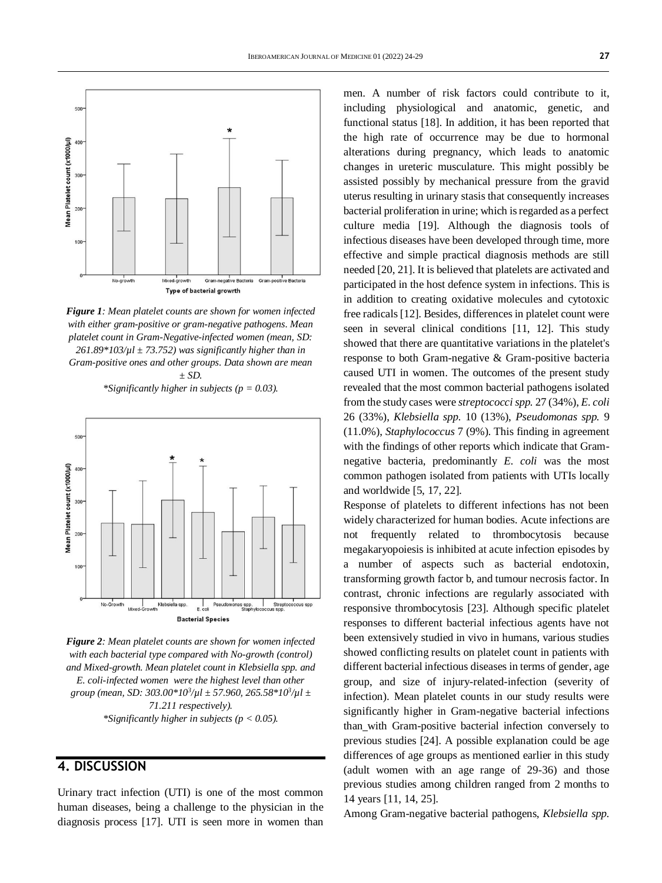

*Figure 1: Mean platelet counts are shown for women infected with either gram-positive or gram-negative pathogens. Mean platelet count in Gram-Negative-infected women (mean, SD: 261.89\*103/µl ± 73.752) was significantly higher than in Gram-positive ones and other groups. Data shown are mean ± SD.*

*\*Significantly higher in subjects (p = 0.03).*



*Figure 2: Mean platelet counts are shown for women infected with each bacterial type compared with No-growth (control) and Mixed-growth. Mean platelet count in Klebsiella spp. and E. coli-infected women were the highest level than other group (mean, SD: 303.00\*10<sup>3</sup> /µl ± 57.960, 265.58\*10<sup>3</sup> /µl ± 71.211 respectively). \*Significantly higher in subjects (p < 0.05).*

#### **4. DISCUSSION**

Urinary tract infection (UTI) is one of the most common human diseases, being a challenge to the physician in the diagnosis process [17]. UTI is seen more in women than men. A number of risk factors could contribute to it, including physiological and anatomic, genetic, and functional status [18]. In addition, it has been reported that the high rate of occurrence may be due to hormonal alterations during pregnancy, which leads to anatomic changes in ureteric musculature. This might possibly be assisted possibly by mechanical pressure from the gravid uterus resulting in urinary stasis that consequently increases bacterial proliferation in urine; which is regarded as a perfect culture media [19]. Although the diagnosis tools of infectious diseases have been developed through time, more effective and simple practical diagnosis methods are still needed [20, 21]. It is believed that platelets are activated and participated in the host defence system in infections. This is in addition to creating oxidative molecules and cytotoxic free radicals[12]. Besides, differences in platelet count were seen in several clinical conditions [11, 12]. This study showed that there are quantitative variations in the platelet's response to both Gram-negative & Gram-positive bacteria caused UTI in women. The outcomes of the present study revealed that the most common bacterial pathogens isolated from the study cases were *streptococci spp.* 27 (34%), *E. coli*  26 (33%), *Klebsiella spp.* 10 (13%), *Pseudomonas spp.* 9 (11.0%), *Staphylococcus* 7 (9%). This finding in agreement with the findings of other reports which indicate that Gramnegative bacteria, predominantly *E. coli* was the most common pathogen isolated from patients with UTIs locally and worldwide [5, 17, 22].

Response of platelets to different infections has not been widely characterized for human bodies. Acute infections are not frequently related to thrombocytosis because megakaryopoiesis is inhibited at acute infection episodes by a number of aspects such as bacterial endotoxin, transforming growth factor b, and tumour necrosis factor. In contrast, chronic infections are regularly associated with responsive thrombocytosis [23]. Although specific platelet responses to different bacterial infectious agents have not been extensively studied in vivo in humans, various studies showed conflicting results on platelet count in patients with different bacterial infectious diseases in terms of gender, age group, and size of injury-related-infection (severity of infection). Mean platelet counts in our study results were significantly higher in Gram-negative bacterial infections than with Gram-positive bacterial infection conversely to previous studies [24]. A possible explanation could be age differences of age groups as mentioned earlier in this study (adult women with an age range of 29-36) and those previous studies among children ranged from 2 months to 14 years [11, 14, 25].

Among Gram-negative bacterial pathogens, *Klebsiella spp.*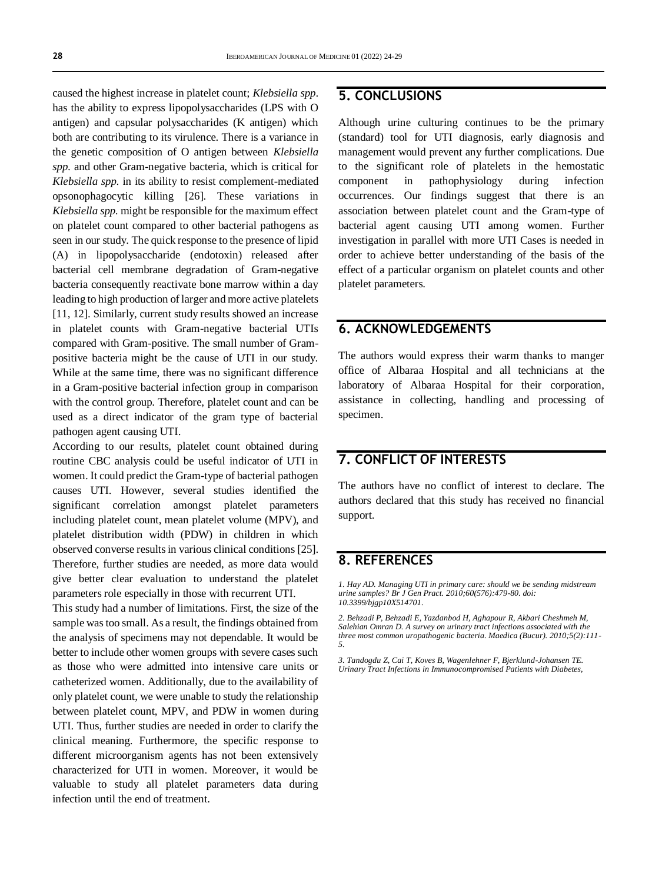caused the highest increase in platelet count; *Klebsiella spp*. has the ability to express lipopolysaccharides (LPS with O antigen) and capsular polysaccharides (K antigen) which both are contributing to its virulence. There is a variance in the genetic composition of O antigen between *Klebsiella spp.* and other Gram-negative bacteria, which is critical for *Klebsiella spp.* in its ability to resist complement-mediated opsonophagocytic killing [26]. These variations in *Klebsiella spp.* might be responsible for the maximum effect on platelet count compared to other bacterial pathogens as seen in our study. The quick response to the presence of lipid (A) in lipopolysaccharide (endotoxin) released after bacterial cell membrane degradation of Gram-negative bacteria consequently reactivate bone marrow within a day leading to high production of larger and more active platelets [11, 12]. Similarly, current study results showed an increase in platelet counts with Gram-negative bacterial UTIs compared with Gram-positive. The small number of Grampositive bacteria might be the cause of UTI in our study. While at the same time, there was no significant difference in a Gram-positive bacterial infection group in comparison with the control group. Therefore, platelet count and can be used as a direct indicator of the gram type of bacterial pathogen agent causing UTI.

According to our results, platelet count obtained during routine CBC analysis could be useful indicator of UTI in women. It could predict the Gram-type of bacterial pathogen causes UTI. However, several studies identified the significant correlation amongst platelet parameters including platelet count, mean platelet volume (MPV), and platelet distribution width (PDW) in children in which observed converse results in various clinical conditions [25]. Therefore, further studies are needed, as more data would give better clear evaluation to understand the platelet parameters role especially in those with recurrent UTI.

This study had a number of limitations. First, the size of the sample was too small. As a result, the findings obtained from the analysis of specimens may not dependable. It would be better to include other women groups with severe cases such as those who were admitted into intensive care units or catheterized women. Additionally, due to the availability of only platelet count, we were unable to study the relationship between platelet count, MPV, and PDW in women during UTI. Thus, further studies are needed in order to clarify the clinical meaning. Furthermore, the specific response to different microorganism agents has not been extensively characterized for UTI in women. Moreover, it would be valuable to study all platelet parameters data during infection until the end of treatment.

### **5. CONCLUSIONS**

Although urine culturing continues to be the primary (standard) tool for UTI diagnosis, early diagnosis and management would prevent any further complications. Due to the significant role of platelets in the hemostatic component in pathophysiology during infection occurrences. Our findings suggest that there is an association between platelet count and the Gram-type of bacterial agent causing UTI among women. Further investigation in parallel with more UTI Cases is needed in order to achieve better understanding of the basis of the effect of a particular organism on platelet counts and other platelet parameters.

### **6. ACKNOWLEDGEMENTS**

The authors would express their warm thanks to manger office of Albaraa Hospital and all technicians at the laboratory of Albaraa Hospital for their corporation, assistance in collecting, handling and processing of specimen.

# **7. CONFLICT OF INTERESTS**

The authors have no conflict of interest to declare. The authors declared that this study has received no financial support.

#### **8. REFERENCES**

*1. Hay AD. Managing UTI in primary care: should we be sending midstream urine samples? Br J Gen Pract. 2010;60(576):479-80. doi: [10.3399/bjgp10X514701.](https://doi.org/10.3399/bjgp10x514701)*

*2. Behzadi P, Behzadi E, Yazdanbod H, Aghapour R, Akbari Cheshmeh M, Salehian Omran D. A survey on urinary tract infections associated with the three most common uropathogenic bacteria. Maedica (Bucur). 2010;5(2):111- 5.*

*3. Tandogdu Z, Cai T, Koves B, Wagenlehner F, Bjerklund-Johansen TE. Urinary Tract Infections in Immunocompromised Patients with Diabetes,*